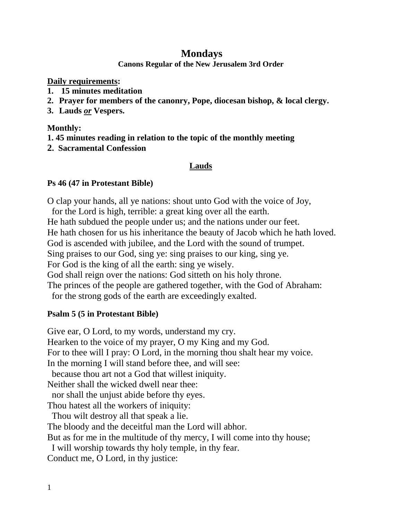## **Mondays**

**Canons Regular of the New Jerusalem 3rd Order**

**Daily requirements:** 

- **1. 15 minutes meditation**
- **2. Prayer for members of the canonry, Pope, diocesan bishop, & local clergy.**
- **3. Lauds** *or* **Vespers.**

**Monthly:**

- **1. 45 minutes reading in relation to the topic of the monthly meeting**
- **2. Sacramental Confession**

# **Lauds**

### **Ps 46 (47 in Protestant Bible)**

O clap your hands, all ye nations: shout unto God with the voice of Joy, for the Lord is high, terrible: a great king over all the earth. He hath subdued the people under us; and the nations under our feet. He hath chosen for us his inheritance the beauty of Jacob which he hath loved. God is ascended with jubilee, and the Lord with the sound of trumpet. Sing praises to our God, sing ye: sing praises to our king, sing ye. For God is the king of all the earth: sing ye wisely. God shall reign over the nations: God sitteth on his holy throne. The princes of the people are gathered together, with the God of Abraham: for the strong gods of the earth are exceedingly exalted.

### **Psalm 5 (5 in Protestant Bible)**

Give ear, O Lord, to my words, understand my cry. Hearken to the voice of my prayer, O my King and my God. For to thee will I pray: O Lord, in the morning thou shalt hear my voice. In the morning I will stand before thee, and will see: because thou art not a God that willest iniquity. Neither shall the wicked dwell near thee: nor shall the unjust abide before thy eyes. Thou hatest all the workers of iniquity: Thou wilt destroy all that speak a lie. The bloody and the deceitful man the Lord will abhor. But as for me in the multitude of thy mercy, I will come into thy house; I will worship towards thy holy temple, in thy fear. Conduct me, O Lord, in thy justice: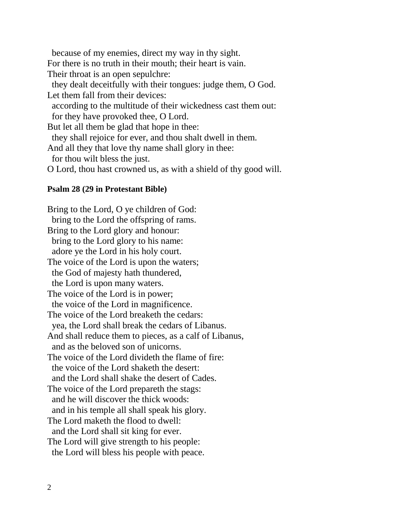because of my enemies, direct my way in thy sight. For there is no truth in their mouth; their heart is vain. Their throat is an open sepulchre: they dealt deceitfully with their tongues: judge them, O God. Let them fall from their devices: according to the multitude of their wickedness cast them out: for they have provoked thee, O Lord. But let all them be glad that hope in thee: they shall rejoice for ever, and thou shalt dwell in them. And all they that love thy name shall glory in thee: for thou wilt bless the just. O Lord, thou hast crowned us, as with a shield of thy good will.

#### **Psalm 28 (29 in Protestant Bible)**

Bring to the Lord, O ye children of God: bring to the Lord the offspring of rams. Bring to the Lord glory and honour: bring to the Lord glory to his name: adore ye the Lord in his holy court. The voice of the Lord is upon the waters; the God of majesty hath thundered, the Lord is upon many waters. The voice of the Lord is in power; the voice of the Lord in magnificence. The voice of the Lord breaketh the cedars: yea, the Lord shall break the cedars of Libanus. And shall reduce them to pieces, as a calf of Libanus, and as the beloved son of unicorns. The voice of the Lord divideth the flame of fire: the voice of the Lord shaketh the desert: and the Lord shall shake the desert of Cades. The voice of the Lord prepareth the stags: and he will discover the thick woods: and in his temple all shall speak his glory. The Lord maketh the flood to dwell: and the Lord shall sit king for ever. The Lord will give strength to his people: the Lord will bless his people with peace.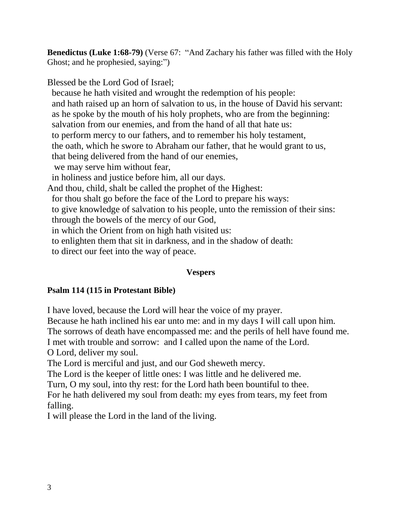**Benedictus (Luke 1:68-79)** (Verse 67: "And Zachary his father was filled with the Holy Ghost; and he prophesied, saying:")

Blessed be the Lord God of Israel;

 because he hath visited and wrought the redemption of his people: and hath raised up an horn of salvation to us, in the house of David his servant: as he spoke by the mouth of his holy prophets, who are from the beginning: salvation from our enemies, and from the hand of all that hate us: to perform mercy to our fathers, and to remember his holy testament, the oath, which he swore to Abraham our father, that he would grant to us, that being delivered from the hand of our enemies, we may serve him without fear, in holiness and justice before him, all our days. And thou, child, shalt be called the prophet of the Highest: for thou shalt go before the face of the Lord to prepare his ways: to give knowledge of salvation to his people, unto the remission of their sins: through the bowels of the mercy of our God, in which the Orient from on high hath visited us: to enlighten them that sit in darkness, and in the shadow of death: to direct our feet into the way of peace.

### **Vespers**

### **Psalm 114 (115 in Protestant Bible)**

I have loved, because the Lord will hear the voice of my prayer.

Because he hath inclined his ear unto me: and in my days I will call upon him.

The sorrows of death have encompassed me: and the perils of hell have found me.

I met with trouble and sorrow: and I called upon the name of the Lord.

O Lord, deliver my soul.

The Lord is merciful and just, and our God sheweth mercy.

The Lord is the keeper of little ones: I was little and he delivered me.

Turn, O my soul, into thy rest: for the Lord hath been bountiful to thee.

For he hath delivered my soul from death: my eyes from tears, my feet from falling.

I will please the Lord in the land of the living.